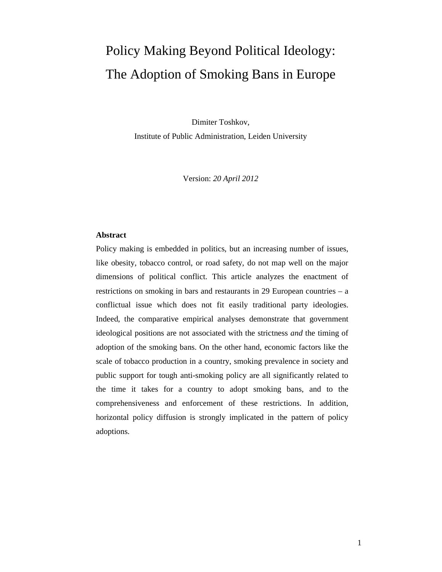# Policy Making Beyond Political Ideology: The Adoption of Smoking Bans in Europe

Dimiter Toshkov,

Institute of Public Administration, Leiden University

Version: *20 April 2012* 

## **Abstract**

Policy making is embedded in politics, but an increasing number of issues, like obesity, tobacco control, or road safety, do not map well on the major dimensions of political conflict. This article analyzes the enactment of restrictions on smoking in bars and restaurants in 29 European countries – a conflictual issue which does not fit easily traditional party ideologies. Indeed, the comparative empirical analyses demonstrate that government ideological positions are not associated with the strictness *and* the timing of adoption of the smoking bans. On the other hand, economic factors like the scale of tobacco production in a country, smoking prevalence in society and public support for tough anti-smoking policy are all significantly related to the time it takes for a country to adopt smoking bans, and to the comprehensiveness and enforcement of these restrictions. In addition, horizontal policy diffusion is strongly implicated in the pattern of policy adoptions.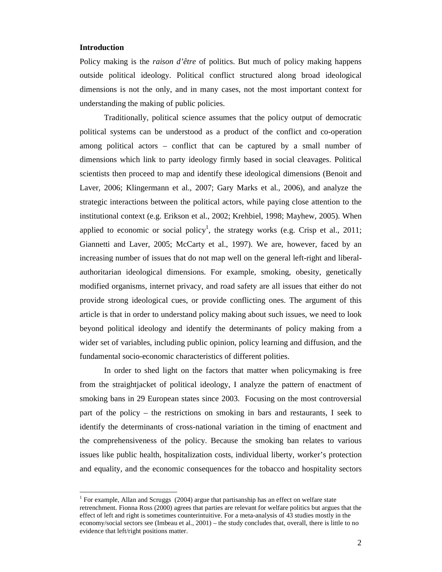### **Introduction**

 $\overline{a}$ 

Policy making is the *raison d'être* of politics. But much of policy making happens outside political ideology. Political conflict structured along broad ideological dimensions is not the only, and in many cases, not the most important context for understanding the making of public policies.

Traditionally, political science assumes that the policy output of democratic political systems can be understood as a product of the conflict and co-operation among political actors – conflict that can be captured by a small number of dimensions which link to party ideology firmly based in social cleavages. Political scientists then proceed to map and identify these ideological dimensions (Benoit and Laver, 2006; Klingermann et al., 2007; Gary Marks et al., 2006), and analyze the strategic interactions between the political actors, while paying close attention to the institutional context (e.g. Erikson et al., 2002; Krehbiel, 1998; Mayhew, 2005). When applied to economic or social policy<sup>1</sup>, the strategy works (e.g. Crisp et al., 2011; Giannetti and Laver, 2005; McCarty et al., 1997). We are, however, faced by an increasing number of issues that do not map well on the general left-right and liberalauthoritarian ideological dimensions. For example, smoking, obesity, genetically modified organisms, internet privacy, and road safety are all issues that either do not provide strong ideological cues, or provide conflicting ones. The argument of this article is that in order to understand policy making about such issues, we need to look beyond political ideology and identify the determinants of policy making from a wider set of variables, including public opinion, policy learning and diffusion, and the fundamental socio-economic characteristics of different polities.

In order to shed light on the factors that matter when policymaking is free from the straightjacket of political ideology, I analyze the pattern of enactment of smoking bans in 29 European states since 2003. Focusing on the most controversial part of the policy – the restrictions on smoking in bars and restaurants, I seek to identify the determinants of cross-national variation in the timing of enactment and the comprehensiveness of the policy. Because the smoking ban relates to various issues like public health, hospitalization costs, individual liberty, worker's protection and equality, and the economic consequences for the tobacco and hospitality sectors

<sup>&</sup>lt;sup>1</sup> For example, Allan and Scruggs  $(2004)$  argue that partisanship has an effect on welfare state retrenchment. Fionna Ross (2000) agrees that parties are relevant for welfare politics but argues that the effect of left and right is sometimes counterintuitive. For a meta-analysis of 43 studies mostly in the economy/social sectors see (Imbeau et al., 2001) – the study concludes that, overall, there is little to no evidence that left/right positions matter.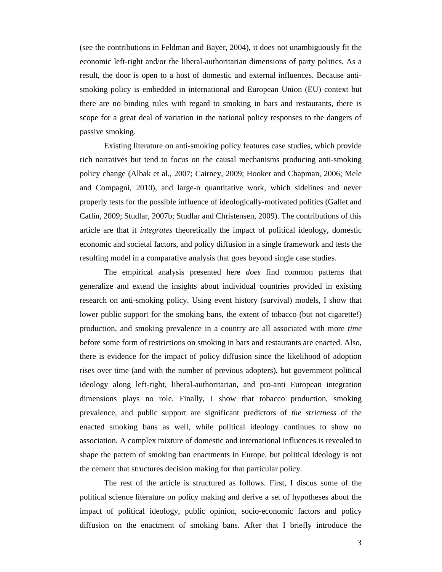(see the contributions in Feldman and Bayer, 2004), it does not unambiguously fit the economic left-right and/or the liberal-authoritarian dimensions of party politics. As a result, the door is open to a host of domestic and external influences. Because antismoking policy is embedded in international and European Union (EU) context but there are no binding rules with regard to smoking in bars and restaurants, there is scope for a great deal of variation in the national policy responses to the dangers of passive smoking.

Existing literature on anti-smoking policy features case studies, which provide rich narratives but tend to focus on the causal mechanisms producing anti-smoking policy change (Albak et al., 2007; Cairney, 2009; Hooker and Chapman, 2006; Mele and Compagni, 2010), and large-n quantitative work, which sidelines and never properly tests for the possible influence of ideologically-motivated politics (Gallet and Catlin, 2009; Studlar, 2007b; Studlar and Christensen, 2009). The contributions of this article are that it *integrates* theoretically the impact of political ideology, domestic economic and societal factors, and policy diffusion in a single framework and tests the resulting model in a comparative analysis that goes beyond single case studies.

The empirical analysis presented here *does* find common patterns that generalize and extend the insights about individual countries provided in existing research on anti-smoking policy. Using event history (survival) models, I show that lower public support for the smoking bans, the extent of tobacco (but not cigarette!) production, and smoking prevalence in a country are all associated with more *time* before some form of restrictions on smoking in bars and restaurants are enacted. Also, there is evidence for the impact of policy diffusion since the likelihood of adoption rises over time (and with the number of previous adopters), but government political ideology along left-right, liberal-authoritarian, and pro-anti European integration dimensions plays no role. Finally, I show that tobacco production, smoking prevalence, and public support are significant predictors of *the strictness* of the enacted smoking bans as well, while political ideology continues to show no association. A complex mixture of domestic and international influences is revealed to shape the pattern of smoking ban enactments in Europe, but political ideology is not the cement that structures decision making for that particular policy.

The rest of the article is structured as follows. First, I discus some of the political science literature on policy making and derive a set of hypotheses about the impact of political ideology, public opinion, socio-economic factors and policy diffusion on the enactment of smoking bans. After that I briefly introduce the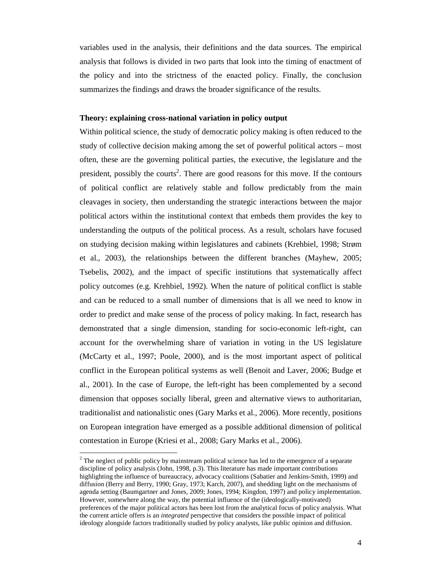variables used in the analysis, their definitions and the data sources. The empirical analysis that follows is divided in two parts that look into the timing of enactment of the policy and into the strictness of the enacted policy. Finally, the conclusion summarizes the findings and draws the broader significance of the results.

### **Theory: explaining cross-national variation in policy output**

Within political science, the study of democratic policy making is often reduced to the study of collective decision making among the set of powerful political actors – most often, these are the governing political parties, the executive, the legislature and the president, possibly the courts<sup>2</sup>. There are good reasons for this move. If the contours of political conflict are relatively stable and follow predictably from the main cleavages in society, then understanding the strategic interactions between the major political actors within the institutional context that embeds them provides the key to understanding the outputs of the political process. As a result, scholars have focused on studying decision making within legislatures and cabinets (Krehbiel, 1998; Strøm et al., 2003), the relationships between the different branches (Mayhew, 2005; Tsebelis, 2002), and the impact of specific institutions that systematically affect policy outcomes (e.g. Krehbiel, 1992). When the nature of political conflict is stable and can be reduced to a small number of dimensions that is all we need to know in order to predict and make sense of the process of policy making. In fact, research has demonstrated that a single dimension, standing for socio-economic left-right, can account for the overwhelming share of variation in voting in the US legislature (McCarty et al., 1997; Poole, 2000), and is the most important aspect of political conflict in the European political systems as well (Benoit and Laver, 2006; Budge et al., 2001). In the case of Europe, the left-right has been complemented by a second dimension that opposes socially liberal, green and alternative views to authoritarian, traditionalist and nationalistic ones (Gary Marks et al., 2006). More recently, positions on European integration have emerged as a possible additional dimension of political contestation in Europe (Kriesi et al., 2008; Gary Marks et al., 2006).

 $2^2$  The neglect of public policy by mainstream political science has led to the emergence of a separate discipline of policy analysis (John, 1998, p.3). This literature has made important contributions highlighting the influence of bureaucracy, advocacy coalitions (Sabatier and Jenkins-Smith, 1999) and diffusion (Berry and Berry, 1990; Gray, 1973; Karch, 2007), and shedding light on the mechanisms of agenda setting (Baumgartner and Jones, 2009; Jones, 1994; Kingdon, 1997) and policy implementation. However, somewhere along the way, the potential influence of the (ideologically-motivated) preferences of the major political actors has been lost from the analytical focus of policy analysis. What the current article offers is an *integrated* perspective that considers the possible impact of political ideology alongside factors traditionally studied by policy analysts, like public opinion and diffusion.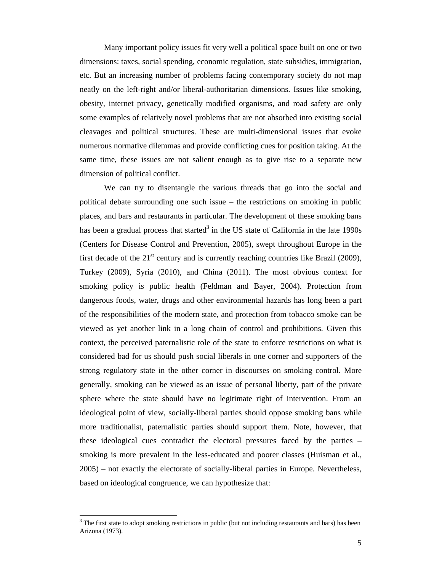Many important policy issues fit very well a political space built on one or two dimensions: taxes, social spending, economic regulation, state subsidies, immigration, etc. But an increasing number of problems facing contemporary society do not map neatly on the left-right and/or liberal-authoritarian dimensions. Issues like smoking, obesity, internet privacy, genetically modified organisms, and road safety are only some examples of relatively novel problems that are not absorbed into existing social cleavages and political structures. These are multi-dimensional issues that evoke numerous normative dilemmas and provide conflicting cues for position taking. At the same time, these issues are not salient enough as to give rise to a separate new dimension of political conflict.

 We can try to disentangle the various threads that go into the social and political debate surrounding one such issue – the restrictions on smoking in public places, and bars and restaurants in particular. The development of these smoking bans has been a gradual process that started<sup>3</sup> in the US state of California in the late 1990s (Centers for Disease Control and Prevention, 2005), swept throughout Europe in the first decade of the  $21<sup>st</sup>$  century and is currently reaching countries like Brazil (2009), Turkey (2009), Syria (2010), and China (2011). The most obvious context for smoking policy is public health (Feldman and Bayer, 2004). Protection from dangerous foods, water, drugs and other environmental hazards has long been a part of the responsibilities of the modern state, and protection from tobacco smoke can be viewed as yet another link in a long chain of control and prohibitions. Given this context, the perceived paternalistic role of the state to enforce restrictions on what is considered bad for us should push social liberals in one corner and supporters of the strong regulatory state in the other corner in discourses on smoking control. More generally, smoking can be viewed as an issue of personal liberty, part of the private sphere where the state should have no legitimate right of intervention. From an ideological point of view, socially-liberal parties should oppose smoking bans while more traditionalist, paternalistic parties should support them. Note, however, that these ideological cues contradict the electoral pressures faced by the parties – smoking is more prevalent in the less-educated and poorer classes (Huisman et al., 2005) – not exactly the electorate of socially-liberal parties in Europe. Nevertheless, based on ideological congruence, we can hypothesize that:

 $3$  The first state to adopt smoking restrictions in public (but not including restaurants and bars) has been Arizona (1973).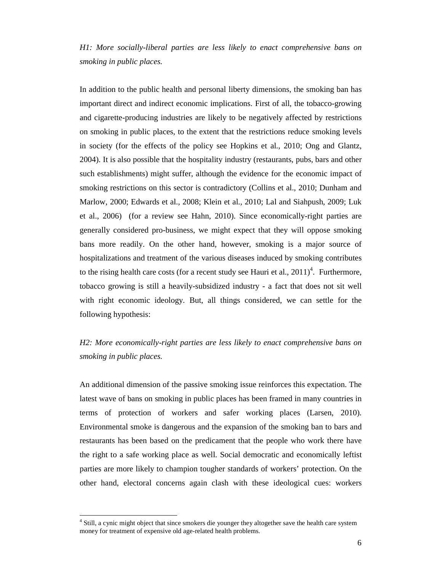*H1: More socially-liberal parties are less likely to enact comprehensive bans on smoking in public places.* 

In addition to the public health and personal liberty dimensions, the smoking ban has important direct and indirect economic implications. First of all, the tobacco-growing and cigarette-producing industries are likely to be negatively affected by restrictions on smoking in public places, to the extent that the restrictions reduce smoking levels in society (for the effects of the policy see Hopkins et al., 2010; Ong and Glantz, 2004). It is also possible that the hospitality industry (restaurants, pubs, bars and other such establishments) might suffer, although the evidence for the economic impact of smoking restrictions on this sector is contradictory (Collins et al., 2010; Dunham and Marlow, 2000; Edwards et al., 2008; Klein et al., 2010; Lal and Siahpush, 2009; Luk et al., 2006) (for a review see Hahn, 2010). Since economically-right parties are generally considered pro-business, we might expect that they will oppose smoking bans more readily. On the other hand, however, smoking is a major source of hospitalizations and treatment of the various diseases induced by smoking contributes to the rising health care costs (for a recent study see Hauri et al.,  $2011)^4$ . Furthermore, tobacco growing is still a heavily-subsidized industry - a fact that does not sit well with right economic ideology. But, all things considered, we can settle for the following hypothesis:

# *H2: More economically-right parties are less likely to enact comprehensive bans on smoking in public places.*

An additional dimension of the passive smoking issue reinforces this expectation. The latest wave of bans on smoking in public places has been framed in many countries in terms of protection of workers and safer working places (Larsen, 2010). Environmental smoke is dangerous and the expansion of the smoking ban to bars and restaurants has been based on the predicament that the people who work there have the right to a safe working place as well. Social democratic and economically leftist parties are more likely to champion tougher standards of workers' protection. On the other hand, electoral concerns again clash with these ideological cues: workers

<sup>&</sup>lt;sup>4</sup> Still, a cynic might object that since smokers die younger they altogether save the health care system money for treatment of expensive old age-related health problems.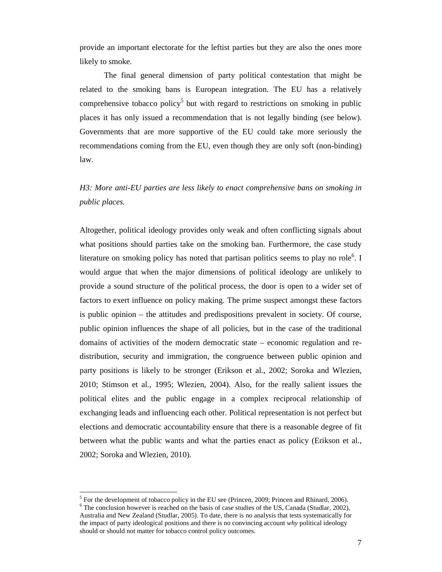provide an important electorate for the leftist parties but they are also the ones more likely to smoke.

The final general dimension of party political contestation that might be related to the smoking bans is European integration. The EU has a relatively comprehensive tobacco policy<sup>5</sup> but with regard to restrictions on smoking in public places it has only issued a recommendation that is not legally binding (see below). Governments that are more supportive of the EU could take more seriously the recommendations coming from the EU, even though they are only soft (non-binding) law.

# *H3: More anti-EU parties are less likely to enact comprehensive bans on smoking in public places.*

Altogether, political ideology provides only weak and often conflicting signals about what positions should parties take on the smoking ban. Furthermore, the case study literature on smoking policy has noted that partisan politics seems to play no role $<sup>6</sup>$ . I</sup> would argue that when the major dimensions of political ideology are unlikely to provide a sound structure of the political process, the door is open to a wider set of factors to exert influence on policy making. The prime suspect amongst these factors is public opinion – the attitudes and predispositions prevalent in society. Of course, public opinion influences the shape of all policies, but in the case of the traditional domains of activities of the modern democratic state – economic regulation and redistribution, security and immigration, the congruence between public opinion and party positions is likely to be stronger (Erikson et al., 2002; Soroka and Wlezien, 2010; Stimson et al., 1995; Wlezien, 2004). Also, for the really salient issues the political elites and the public engage in a complex reciprocal relationship of exchanging leads and influencing each other. Political representation is not perfect but elections and democratic accountability ensure that there is a reasonable degree of fit between what the public wants and what the parties enact as policy (Erikson et al., 2002; Soroka and Wlezien, 2010).

 $<sup>5</sup>$  For the development of tobacco policy in the EU see (Princen, 2009; Princen and Rhinard, 2006).</sup>

 $6$  The conclusion however is reached on the basis of case studies of the US, Canada (Studlar, 2002), Australia and New Zealand (Studlar, 2005). To date, there is no analysis that tests systematically for the impact of party ideological positions and there is no convincing account *why* political ideology should or should not matter for tobacco control policy outcomes.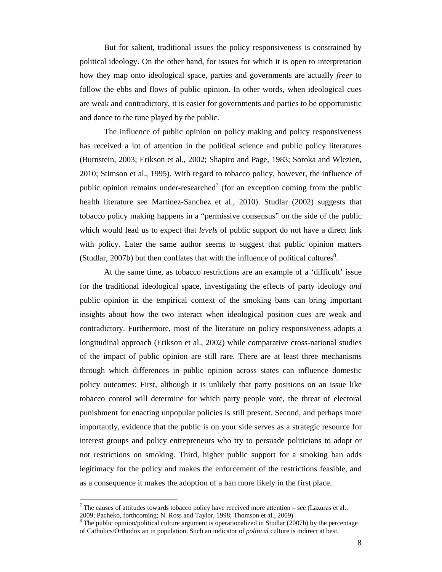But for salient, traditional issues the policy responsiveness is constrained by political ideology. On the other hand, for issues for which it is open to interpretation how they map onto ideological space, parties and governments are actually *freer* to follow the ebbs and flows of public opinion. In other words, when ideological cues are weak and contradictory, it is easier for governments and parties to be opportunistic and dance to the tune played by the public.

 The influence of public opinion on policy making and policy responsiveness has received a lot of attention in the political science and public policy literatures (Burnstein, 2003; Erikson et al., 2002; Shapiro and Page, 1983; Soroka and Wlezien, 2010; Stimson et al., 1995). With regard to tobacco policy, however, the influence of public opinion remains under-researched<sup>7</sup> (for an exception coming from the public health literature see Martinez-Sanchez et al., 2010). Studlar (2002) suggests that tobacco policy making happens in a "permissive consensus" on the side of the public which would lead us to expect that *levels* of public support do not have a direct link with policy. Later the same author seems to suggest that public opinion matters (Studlar, 2007b) but then conflates that with the influence of political cultures<sup>8</sup>.

At the same time, as tobacco restrictions are an example of a 'difficult' issue for the traditional ideological space, investigating the effects of party ideology *and* public opinion in the empirical context of the smoking bans can bring important insights about how the two interact when ideological position cues are weak and contradictory. Furthermore, most of the literature on policy responsiveness adopts a longitudinal approach (Erikson et al., 2002) while comparative cross-national studies of the impact of public opinion are still rare. There are at least three mechanisms through which differences in public opinion across states can influence domestic policy outcomes: First, although it is unlikely that party positions on an issue like tobacco control will determine for which party people vote, the threat of electoral punishment for enacting unpopular policies is still present. Second, and perhaps more importantly, evidence that the public is on your side serves as a strategic resource for interest groups and policy entrepreneurs who try to persuade politicians to adopt or not restrictions on smoking. Third, higher public support for a smoking ban adds legitimacy for the policy and makes the enforcement of the restrictions feasible, and as a consequence it makes the adoption of a ban more likely in the first place.

 $\ddot{\phantom{a}}$ 

<sup>&</sup>lt;sup>7</sup> The causes of attitudes towards tobacco policy have received more attention – see (Lazuras et al.,

<sup>2009;</sup> Pacheko, forthcoming; N. Ross and Taylor, 1998; Thomson et al., 2009)<br><sup>8</sup> The public opinion/political culture argument is operationalized in Studlar (2007b) by the percentage of Catholics/Orthodox an in population. Such an indicator of *political* culture is indirect at best.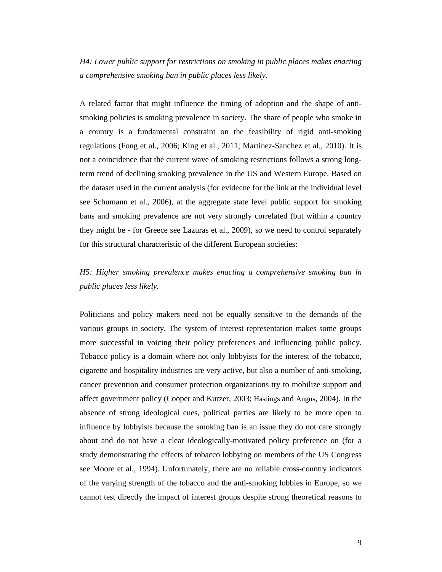*H4: Lower public support for restrictions on smoking in public places makes enacting a comprehensive smoking ban in public places less likely.* 

A related factor that might influence the timing of adoption and the shape of antismoking policies is smoking prevalence in society. The share of people who smoke in a country is a fundamental constraint on the feasibility of rigid anti-smoking regulations (Fong et al., 2006; King et al., 2011; Martinez-Sanchez et al., 2010). It is not a coincidence that the current wave of smoking restrictions follows a strong longterm trend of declining smoking prevalence in the US and Western Europe. Based on the dataset used in the current analysis (for evidecne for the link at the individual level see Schumann et al., 2006), at the aggregate state level public support for smoking bans and smoking prevalence are not very strongly correlated (but within a country they might be - for Greece see Lazuras et al., 2009), so we need to control separately for this structural characteristic of the different European societies:

# *H5: Higher smoking prevalence makes enacting a comprehensive smoking ban in public places less likely.*

Politicians and policy makers need not be equally sensitive to the demands of the various groups in society. The system of interest representation makes some groups more successful in voicing their policy preferences and influencing public policy. Tobacco policy is a domain where not only lobbyists for the interest of the tobacco, cigarette and hospitality industries are very active, but also a number of anti-smoking, cancer prevention and consumer protection organizations try to mobilize support and affect government policy (Cooper and Kurzer, 2003; Hastings and Angus, 2004). In the absence of strong ideological cues, political parties are likely to be more open to influence by lobbyists because the smoking ban is an issue they do not care strongly about and do not have a clear ideologically-motivated policy preference on (for a study demonstrating the effects of tobacco lobbying on members of the US Congress see Moore et al., 1994). Unfortunately, there are no reliable cross-country indicators of the varying strength of the tobacco and the anti-smoking lobbies in Europe, so we cannot test directly the impact of interest groups despite strong theoretical reasons to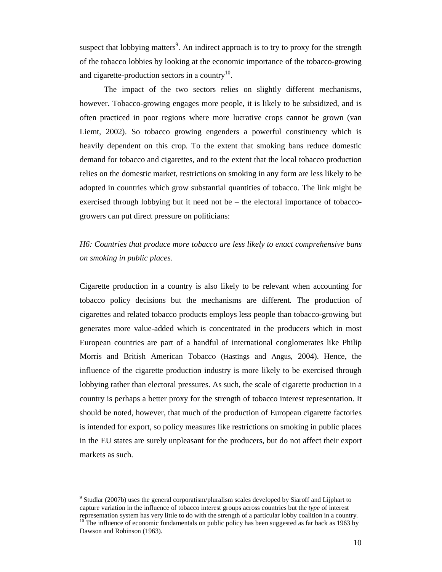suspect that lobbying matters<sup>9</sup>. An indirect approach is to try to proxy for the strength of the tobacco lobbies by looking at the economic importance of the tobacco-growing and cigarette-production sectors in a country $^{10}$ .

The impact of the two sectors relies on slightly different mechanisms, however. Tobacco-growing engages more people, it is likely to be subsidized, and is often practiced in poor regions where more lucrative crops cannot be grown (van Liemt, 2002). So tobacco growing engenders a powerful constituency which is heavily dependent on this crop. To the extent that smoking bans reduce domestic demand for tobacco and cigarettes, and to the extent that the local tobacco production relies on the domestic market, restrictions on smoking in any form are less likely to be adopted in countries which grow substantial quantities of tobacco. The link might be exercised through lobbying but it need not be – the electoral importance of tobaccogrowers can put direct pressure on politicians:

# *H6: Countries that produce more tobacco are less likely to enact comprehensive bans on smoking in public places.*

Cigarette production in a country is also likely to be relevant when accounting for tobacco policy decisions but the mechanisms are different. The production of cigarettes and related tobacco products employs less people than tobacco-growing but generates more value-added which is concentrated in the producers which in most European countries are part of a handful of international conglomerates like Philip Morris and British American Tobacco (Hastings and Angus, 2004). Hence, the influence of the cigarette production industry is more likely to be exercised through lobbying rather than electoral pressures. As such, the scale of cigarette production in a country is perhaps a better proxy for the strength of tobacco interest representation. It should be noted, however, that much of the production of European cigarette factories is intended for export, so policy measures like restrictions on smoking in public places in the EU states are surely unpleasant for the producers, but do not affect their export markets as such.

<sup>&</sup>lt;sup>9</sup> Studlar (2007b) uses the general corporatism/pluralism scales developed by Siaroff and Lijphart to capture variation in the influence of tobacco interest groups across countries but the *type* of interest representation system has very little to do with the strength of a particular lobby coalition in a country.  $10$ <sup>The</sup> influence of economic fundamentals on public policy has been suggested as far back as 1963 by Dawson and Robinson (1963).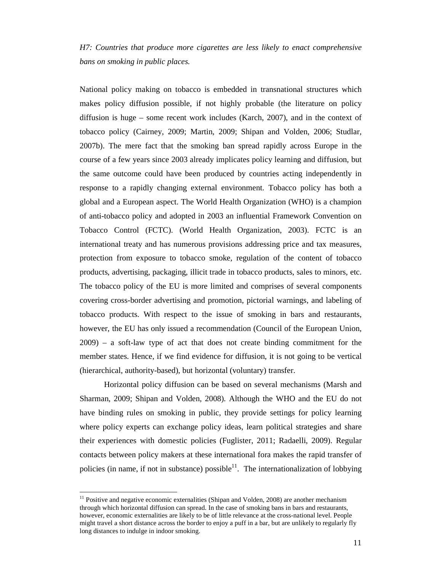*H7: Countries that produce more cigarettes are less likely to enact comprehensive bans on smoking in public places.* 

National policy making on tobacco is embedded in transnational structures which makes policy diffusion possible, if not highly probable (the literature on policy diffusion is huge – some recent work includes (Karch, 2007), and in the context of tobacco policy (Cairney, 2009; Martin, 2009; Shipan and Volden, 2006; Studlar, 2007b). The mere fact that the smoking ban spread rapidly across Europe in the course of a few years since 2003 already implicates policy learning and diffusion, but the same outcome could have been produced by countries acting independently in response to a rapidly changing external environment. Tobacco policy has both a global and a European aspect. The World Health Organization (WHO) is a champion of anti-tobacco policy and adopted in 2003 an influential Framework Convention on Tobacco Control (FCTC). (World Health Organization, 2003). FCTC is an international treaty and has numerous provisions addressing price and tax measures, protection from exposure to tobacco smoke, regulation of the content of tobacco products, advertising, packaging, illicit trade in tobacco products, sales to minors, etc. The tobacco policy of the EU is more limited and comprises of several components covering cross-border advertising and promotion, pictorial warnings, and labeling of tobacco products. With respect to the issue of smoking in bars and restaurants, however, the EU has only issued a recommendation (Council of the European Union, 2009) – a soft-law type of act that does not create binding commitment for the member states. Hence, if we find evidence for diffusion, it is not going to be vertical (hierarchical, authority-based), but horizontal (voluntary) transfer.

Horizontal policy diffusion can be based on several mechanisms (Marsh and Sharman, 2009; Shipan and Volden, 2008). Although the WHO and the EU do not have binding rules on smoking in public, they provide settings for policy learning where policy experts can exchange policy ideas, learn political strategies and share their experiences with domestic policies (Fuglister, 2011; Radaelli, 2009). Regular contacts between policy makers at these international fora makes the rapid transfer of policies (in name, if not in substance) possible<sup>11</sup>. The internationalization of lobbying

 $11$  Positive and negative economic externalities (Shipan and Volden, 2008) are another mechanism through which horizontal diffusion can spread. In the case of smoking bans in bars and restaurants, however, economic externalities are likely to be of little relevance at the cross-national level. People might travel a short distance across the border to enjoy a puff in a bar, but are unlikely to regularly fly long distances to indulge in indoor smoking.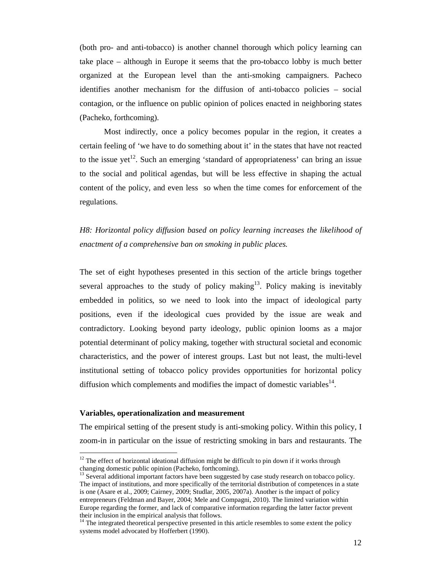(both pro- and anti-tobacco) is another channel thorough which policy learning can take place – although in Europe it seems that the pro-tobacco lobby is much better organized at the European level than the anti-smoking campaigners. Pacheco identifies another mechanism for the diffusion of anti-tobacco policies – social contagion, or the influence on public opinion of polices enacted in neighboring states (Pacheko, forthcoming).

Most indirectly, once a policy becomes popular in the region, it creates a certain feeling of 'we have to do something about it' in the states that have not reacted to the issue yet<sup>12</sup>. Such an emerging 'standard of appropriateness' can bring an issue to the social and political agendas, but will be less effective in shaping the actual content of the policy, and even less so when the time comes for enforcement of the regulations.

*H8: Horizontal policy diffusion based on policy learning increases the likelihood of enactment of a comprehensive ban on smoking in public places.* 

The set of eight hypotheses presented in this section of the article brings together several approaches to the study of policy making<sup>13</sup>. Policy making is inevitably embedded in politics, so we need to look into the impact of ideological party positions, even if the ideological cues provided by the issue are weak and contradictory. Looking beyond party ideology, public opinion looms as a major potential determinant of policy making, together with structural societal and economic characteristics, and the power of interest groups. Last but not least, the multi-level institutional setting of tobacco policy provides opportunities for horizontal policy diffusion which complements and modifies the impact of domestic variables $^{14}$ .

#### **Variables, operationalization and measurement**

 $\overline{a}$ 

The empirical setting of the present study is anti-smoking policy. Within this policy, I zoom-in in particular on the issue of restricting smoking in bars and restaurants. The

 $12$  The effect of horizontal ideational diffusion might be difficult to pin down if it works through changing domestic public opinion (Pacheko, forthcoming).

<sup>&</sup>lt;sup>13</sup> Several additional important factors have been suggested by case study research on tobacco policy. The impact of institutions, and more specifically of the territorial distribution of competences in a state is one (Asare et al., 2009; Cairney, 2009; Studlar, 2005, 2007a). Another is the impact of policy entrepreneurs (Feldman and Bayer, 2004; Mele and Compagni, 2010). The limited variation within Europe regarding the former, and lack of comparative information regarding the latter factor prevent their inclusion in the empirical analysis that follows.

<sup>&</sup>lt;sup>14</sup> The integrated theoretical perspective presented in this article resembles to some extent the policy systems model advocated by Hofferbert (1990).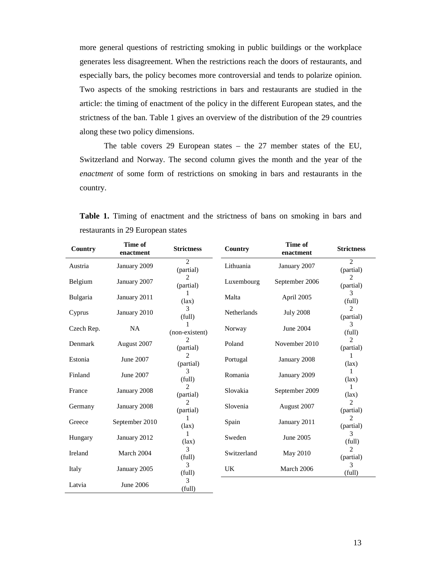more general questions of restricting smoking in public buildings or the workplace generates less disagreement. When the restrictions reach the doors of restaurants, and especially bars, the policy becomes more controversial and tends to polarize opinion. Two aspects of the smoking restrictions in bars and restaurants are studied in the article: the timing of enactment of the policy in the different European states, and the strictness of the ban. Table 1 gives an overview of the distribution of the 29 countries along these two policy dimensions.

The table covers 29 European states – the 27 member states of the EU, Switzerland and Norway. The second column gives the month and the year of the *enactment* of some form of restrictions on smoking in bars and restaurants in the country.

|                                   |  |  |  | <b>Table 1.</b> Timing of enactment and the strictness of bans on smoking in bars and |  |  |  |  |  |  |  |  |  |  |
|-----------------------------------|--|--|--|---------------------------------------------------------------------------------------|--|--|--|--|--|--|--|--|--|--|
| restaurants in 29 European states |  |  |  |                                                                                       |  |  |  |  |  |  |  |  |  |  |

| Country    | Time of<br>enactment | <b>Strictness</b>                     | Country     | Time of<br>enactment | <b>Strictness</b>               |
|------------|----------------------|---------------------------------------|-------------|----------------------|---------------------------------|
| Austria    | January 2009         | $\mathcal{D}_{\alpha}$<br>(partial)   | Lithuania   | January 2007         | $\mathfrak{D}$<br>(partial)     |
| Belgium    | January 2007         | $\mathfrak{D}$<br>(partial)           | Luxembourg  | September 2006       | 2<br>(partial)                  |
| Bulgaria   | January 2011         | (lax)                                 | Malta       | April 2005           | 3<br>(full)                     |
| Cyprus     | January 2010         | 3<br>(full)                           | Netherlands | <b>July 2008</b>     | 2<br>(partial)                  |
| Czech Rep. | NA                   | (non-existent)                        | Norway      | June 2004            | 3<br>(full)                     |
| Denmark    | August 2007          | 2<br>(partial)                        | Poland      | November 2010        | 2<br>(partial)                  |
| Estonia    | June 2007            | 2<br>(partial)                        | Portugal    | January 2008         | 1<br>$\left( \text{lax}\right)$ |
| Finland    | June 2007            | 3<br>(full)                           | Romania     | January 2009         | 1<br>$\left( \text{lax}\right)$ |
| France     | January 2008         | $\mathfrak{D}$<br>(partial)           | Slovakia    | September 2009       | 1<br>(lax)                      |
| Germany    | January 2008         | 2<br>(partial)                        | Slovenia    | August 2007          | 2<br>(partial)                  |
| Greece     | September 2010       | 1<br>$\left( \text{lax}\right)$       | Spain       | January 2011         | $\mathfrak{D}$<br>(partial)     |
| Hungary    | January 2012         | 1<br>$\left( \frac{\ln x}{x} \right)$ | Sweden      | June 2005            | 3<br>(full)                     |
| Ireland    | March 2004           | 3<br>(full)                           | Switzerland | May 2010             | 2<br>(partial)                  |
| Italy      | January 2005         | 3<br>(full)                           | UK.         | March 2006           | 3<br>(full)                     |
| Latvia     | June 2006            | 3<br>(full)                           |             |                      |                                 |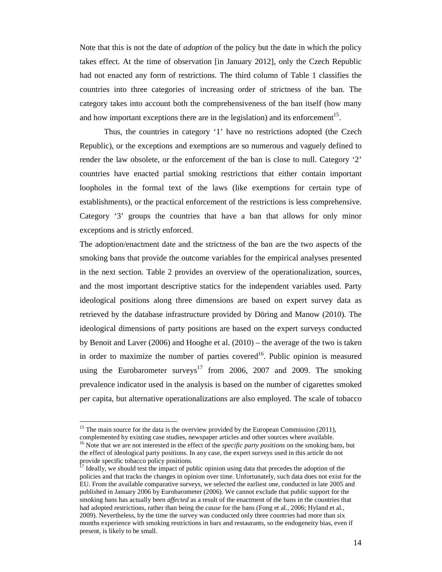Note that this is not the date of *adoption* of the policy but the date in which the policy takes effect. At the time of observation [in January 2012], only the Czech Republic had not enacted any form of restrictions. The third column of Table 1 classifies the countries into three categories of increasing order of strictness of the ban. The category takes into account both the comprehensiveness of the ban itself (how many and how important exceptions there are in the legislation) and its enforcement<sup>15</sup>.

Thus, the countries in category '1' have no restrictions adopted (the Czech Republic), or the exceptions and exemptions are so numerous and vaguely defined to render the law obsolete, or the enforcement of the ban is close to null. Category '2' countries have enacted partial smoking restrictions that either contain important loopholes in the formal text of the laws (like exemptions for certain type of establishments), or the practical enforcement of the restrictions is less comprehensive. Category '3' groups the countries that have a ban that allows for only minor exceptions and is strictly enforced.

The adoption/enactment date and the strictness of the ban are the two aspects of the smoking bans that provide the outcome variables for the empirical analyses presented in the next section. Table 2 provides an overview of the operationalization, sources, and the most important descriptive statics for the independent variables used. Party ideological positions along three dimensions are based on expert survey data as retrieved by the database infrastructure provided by Döring and Manow (2010). The ideological dimensions of party positions are based on the expert surveys conducted by Benoit and Laver (2006) and Hooghe et al. (2010) – the average of the two is taken in order to maximize the number of parties covered<sup>16</sup>. Public opinion is measured using the Eurobarometer surveys<sup>17</sup> from 2006, 2007 and 2009. The smoking prevalence indicator used in the analysis is based on the number of cigarettes smoked per capita, but alternative operationalizations are also employed. The scale of tobacco

<sup>&</sup>lt;sup>15</sup> The main source for the data is the overview provided by the European Commission (2011), complemented by existing case studies, newspaper articles and other sources where available.

<sup>&</sup>lt;sup>16</sup> Note that we are not interested in the effect of the *specific party positions* on the smoking bans, but the effect of ideological party positions. In any case, the expert surveys used in this article do not provide specific tobacco policy positions.

 $17$  Ideally, we should test the impact of public opinion using data that precedes the adoption of the policies and that tracks the changes in opinion over time. Unfortunately, such data does not exist for the EU. From the available comparative surveys, we selected the earliest one, conducted in late 2005 and published in January 2006 by Eurobarometer (2006). We cannot exclude that public support for the smoking bans has actually been *affected* as a result of the enactment of the bans in the countries that had adopted restrictions, rather than being the *cause* for the bans (Fong et al., 2006; Hyland et al., 2009). Nevertheless, by the time the survey was conducted only three countries had more than six months experience with smoking restrictions in bars and restaurants, so the endogeneity bias, even if present, is likely to be small.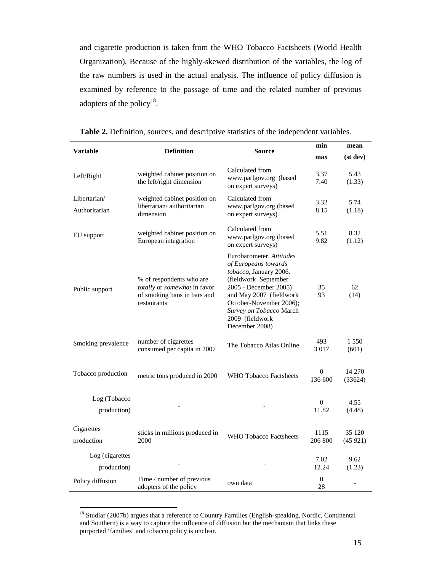and cigarette production is taken from the WHO Tobacco Factsheets (World Health Organization). Because of the highly-skewed distribution of the variables, the log of the raw numbers is used in the actual analysis. The influence of policy diffusion is examined by reference to the passage of time and the related number of previous adopters of the policy<sup>18</sup>.

| <b>Variable</b>                | <b>Definition</b>                                                                                      | <b>Source</b>                                                                                                                                                                                                                                     | min                       | mean              |
|--------------------------------|--------------------------------------------------------------------------------------------------------|---------------------------------------------------------------------------------------------------------------------------------------------------------------------------------------------------------------------------------------------------|---------------------------|-------------------|
|                                |                                                                                                        |                                                                                                                                                                                                                                                   | max                       | (st dev)          |
| Left/Right                     | weighted cabinet position on<br>the left/right dimension                                               | Calculated from<br>www.parlgov.org (based<br>on expert surveys)                                                                                                                                                                                   | 3.37<br>7.40              | 5.43<br>(1.33)    |
| Libertarian/<br>Authoritarian  | weighted cabinet position on<br>libertarian/authoritarian<br>dimension                                 | Calculated from<br>www.parlgov.org (based<br>on expert surveys)                                                                                                                                                                                   | 3.32<br>8.15              | 5.74<br>(1.18)    |
| EU support                     | weighted cabinet position on<br>European integration                                                   | Calculated from<br>www.parlgov.org (based<br>on expert surveys)                                                                                                                                                                                   | 5.51<br>9.82              | 8.32<br>(1.12)    |
| Public support                 | % of respondents who are<br>totally or somewhat in favor<br>of smoking bans in bars and<br>restaurants | Eurobarometer. Attitudes<br>of Europeans towards<br>tobacco, January 2006.<br>(fieldwork September<br>2005 - December 2005)<br>and May 2007 (fieldwork<br>October-November 2006);<br>Survey on Tobacco March<br>2009 (fieldwork<br>December 2008) | 35<br>93                  | 62<br>(14)        |
| Smoking prevalence             | number of cigarettes<br>consumed per capita in 2007                                                    | The Tobacco Atlas Online                                                                                                                                                                                                                          | 493<br>3 0 1 7            | 1550<br>(601)     |
| Tobacco production             | metric tons produced in 2000                                                                           | <b>WHO Tobacco Factsheets</b>                                                                                                                                                                                                                     | $\overline{0}$<br>136 600 | 14 270<br>(33624) |
| Log (Tobacco<br>production)    |                                                                                                        |                                                                                                                                                                                                                                                   | $\boldsymbol{0}$<br>11.82 | 4.55<br>(4.48)    |
| Cigarettes<br>production       | sticks in millions produced in<br>2000                                                                 | <b>WHO Tobacco Factsheets</b>                                                                                                                                                                                                                     | 1115<br>206 800           | 35 120<br>(45921) |
| Log (cigarettes<br>production) |                                                                                                        |                                                                                                                                                                                                                                                   | 7.02<br>12.24             | 9.62<br>(1.23)    |
| Policy diffusion               | Time / number of previous<br>adopters of the policy                                                    | own data                                                                                                                                                                                                                                          | $\boldsymbol{0}$<br>28    |                   |

| <b>Table 2.</b> Definition, sources, and descriptive statistics of the independent variables. |  |  |  |  |  |  |  |  |  |  |  |
|-----------------------------------------------------------------------------------------------|--|--|--|--|--|--|--|--|--|--|--|
|-----------------------------------------------------------------------------------------------|--|--|--|--|--|--|--|--|--|--|--|

<sup>&</sup>lt;sup>18</sup> Studlar (2007b) argues that a reference to Country Families (English-speaking, Nordic, Continental and Southern) is a way to capture the influence of diffusion but the mechanism that links these purported 'families' and tobacco policy is unclear.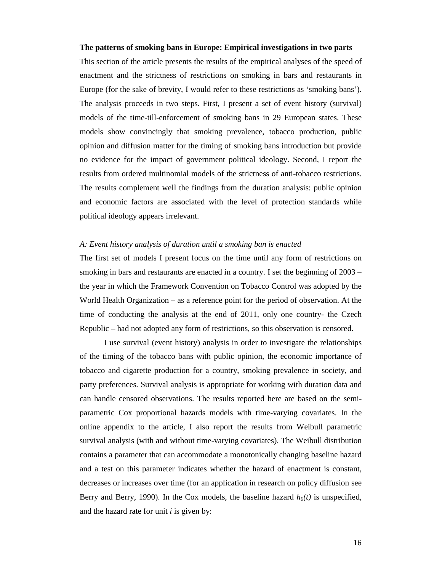#### **The patterns of smoking bans in Europe: Empirical investigations in two parts**

This section of the article presents the results of the empirical analyses of the speed of enactment and the strictness of restrictions on smoking in bars and restaurants in Europe (for the sake of brevity, I would refer to these restrictions as 'smoking bans'). The analysis proceeds in two steps. First, I present a set of event history (survival) models of the time-till-enforcement of smoking bans in 29 European states. These models show convincingly that smoking prevalence, tobacco production, public opinion and diffusion matter for the timing of smoking bans introduction but provide no evidence for the impact of government political ideology. Second, I report the results from ordered multinomial models of the strictness of anti-tobacco restrictions. The results complement well the findings from the duration analysis: public opinion and economic factors are associated with the level of protection standards while political ideology appears irrelevant.

#### *A: Event history analysis of duration until a smoking ban is enacted*

The first set of models I present focus on the time until any form of restrictions on smoking in bars and restaurants are enacted in a country. I set the beginning of 2003 – the year in which the Framework Convention on Tobacco Control was adopted by the World Health Organization – as a reference point for the period of observation. At the time of conducting the analysis at the end of 2011, only one country- the Czech Republic – had not adopted any form of restrictions, so this observation is censored.

I use survival (event history) analysis in order to investigate the relationships of the timing of the tobacco bans with public opinion, the economic importance of tobacco and cigarette production for a country, smoking prevalence in society, and party preferences. Survival analysis is appropriate for working with duration data and can handle censored observations. The results reported here are based on the semiparametric Cox proportional hazards models with time-varying covariates. In the online appendix to the article, I also report the results from Weibull parametric survival analysis (with and without time-varying covariates). The Weibull distribution contains a parameter that can accommodate a monotonically changing baseline hazard and a test on this parameter indicates whether the hazard of enactment is constant, decreases or increases over time (for an application in research on policy diffusion see Berry and Berry, 1990). In the Cox models, the baseline hazard  $h<sub>0</sub>(t)$  is unspecified, and the hazard rate for unit *i* is given by: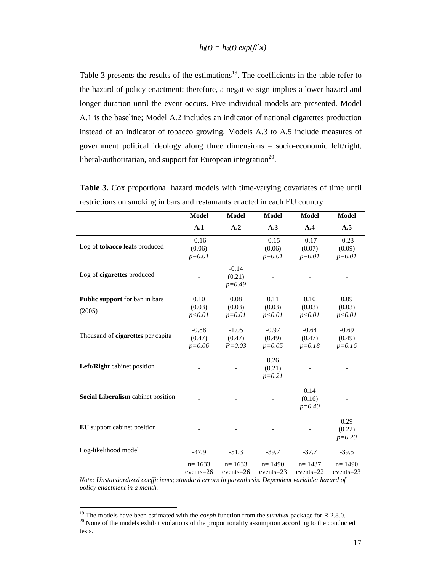Table 3 presents the results of the estimations $19$ . The coefficients in the table refer to the hazard of policy enactment; therefore, a negative sign implies a lower hazard and longer duration until the event occurs. Five individual models are presented. Model A.1 is the baseline; Model A.2 includes an indicator of national cigarettes production instead of an indicator of tobacco growing. Models A.3 to A.5 include measures of government political ideology along three dimensions – socio-economic left/right, liberal/authoritarian, and support for European integration<sup>20</sup>.

|                                                                                                                                  | <b>Model</b>                    | <b>Model</b>                    | <b>Model</b>                    | <b>Model</b>                    | <b>Model</b>                    |  |  |  |
|----------------------------------------------------------------------------------------------------------------------------------|---------------------------------|---------------------------------|---------------------------------|---------------------------------|---------------------------------|--|--|--|
|                                                                                                                                  | A.1                             | A.2                             | A.3                             | A.4                             | A.5                             |  |  |  |
| Log of tobacco leafs produced                                                                                                    | $-0.16$<br>(0.06)<br>$p = 0.01$ |                                 | $-0.15$<br>(0.06)<br>$p = 0.01$ | $-0.17$<br>(0.07)<br>$p = 0.01$ | $-0.23$<br>(0.09)<br>$p = 0.01$ |  |  |  |
| Log of <b>cigarettes</b> produced                                                                                                |                                 | $-0.14$<br>(0.21)<br>$p=0.49$   |                                 |                                 |                                 |  |  |  |
| Public support for ban in bars<br>(2005)                                                                                         | 0.10<br>(0.03)<br>p<0.01        | 0.08<br>(0.03)<br>$p = 0.01$    | 0.11<br>(0.03)<br>p<0.01        | 0.10<br>(0.03)<br>p<0.01        | 0.09<br>(0.03)<br>p<0.01        |  |  |  |
| Thousand of cigarettes per capita                                                                                                | $-0.88$<br>(0.47)<br>$p = 0.06$ | $-1.05$<br>(0.47)<br>$P = 0.03$ | $-0.97$<br>(0.49)<br>$p = 0.05$ | $-0.64$<br>(0.47)<br>$p = 0.18$ | $-0.69$<br>(0.49)<br>$p=0.16$   |  |  |  |
| Left/Right cabinet position                                                                                                      |                                 |                                 | 0.26<br>(0.21)<br>$p = 0.21$    |                                 |                                 |  |  |  |
| Social Liberalism cabinet position                                                                                               |                                 |                                 |                                 | 0.14<br>(0.16)<br>$p = 0.40$    |                                 |  |  |  |
| <b>EU</b> support cabinet position                                                                                               |                                 |                                 |                                 |                                 | 0.29<br>(0.22)<br>$p=0.20$      |  |  |  |
| Log-likelihood model                                                                                                             | $-47.9$                         | $-51.3$                         | $-39.7$                         | $-37.7$                         | $-39.5$                         |  |  |  |
|                                                                                                                                  | $n = 1633$<br>$events=26$       | $n = 1633$<br>$events=26$       | $n = 1490$<br>$events=23$       | $n = 1437$<br>$events=22$       | $n = 1490$<br>$events=23$       |  |  |  |
| Note: Unstandardized coefficients; standard errors in parenthesis. Dependent variable: hazard of<br>policy enactment in a month. |                                 |                                 |                                 |                                 |                                 |  |  |  |

**Table 3.** Cox proportional hazard models with time-varying covariates of time until restrictions on smoking in bars and restaurants enacted in each EU country

<sup>19</sup> The models have been estimated with the *coxph* function from the *survival* package for R 2.8.0.

 $20$  None of the models exhibit violations of the proportionality assumption according to the conducted tests.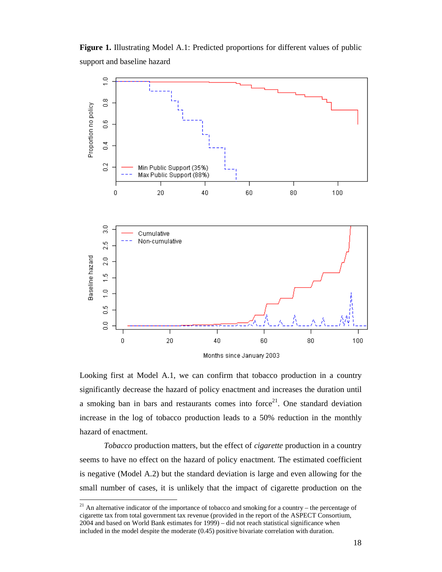

Figure 1. Illustrating Model A.1: Predicted proportions for different values of public support and baseline hazard



Months since January 2003

Looking first at Model A.1, we can confirm that tobacco production in a country significantly decrease the hazard of policy enactment and increases the duration until a smoking ban in bars and restaurants comes into force<sup>21</sup>. One standard deviation increase in the log of tobacco production leads to a 50% reduction in the monthly hazard of enactment.

*Tobacco* production matters, but the effect of *cigarette* production in a country seems to have no effect on the hazard of policy enactment. The estimated coefficient is negative (Model A.2) but the standard deviation is large and even allowing for the small number of cases, it is unlikely that the impact of cigarette production on the

 $\ddot{\phantom{a}}$ 

 $21$  An alternative indicator of the importance of tobacco and smoking for a country – the percentage of cigarette tax from total government tax revenue (provided in the report of the ASPECT Consortium, 2004 and based on World Bank estimates for 1999) – did not reach statistical significance when included in the model despite the moderate (0.45) positive bivariate correlation with duration.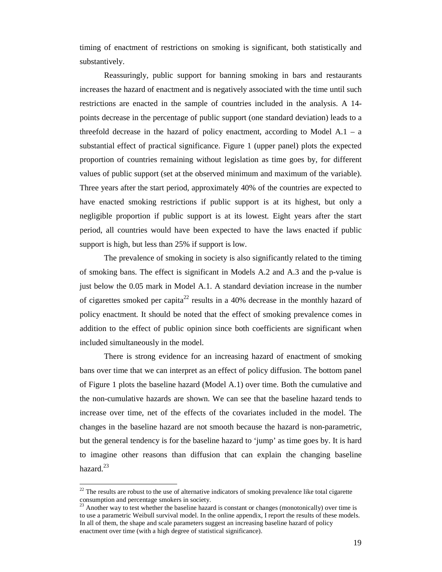timing of enactment of restrictions on smoking is significant, both statistically and substantively.

Reassuringly, public support for banning smoking in bars and restaurants increases the hazard of enactment and is negatively associated with the time until such restrictions are enacted in the sample of countries included in the analysis. A 14 points decrease in the percentage of public support (one standard deviation) leads to a threefold decrease in the hazard of policy enactment, according to Model  $A.1 - a$ substantial effect of practical significance. Figure 1 (upper panel) plots the expected proportion of countries remaining without legislation as time goes by, for different values of public support (set at the observed minimum and maximum of the variable). Three years after the start period, approximately 40% of the countries are expected to have enacted smoking restrictions if public support is at its highest, but only a negligible proportion if public support is at its lowest. Eight years after the start period, all countries would have been expected to have the laws enacted if public support is high, but less than 25% if support is low.

The prevalence of smoking in society is also significantly related to the timing of smoking bans. The effect is significant in Models A.2 and A.3 and the p-value is just below the 0.05 mark in Model A.1. A standard deviation increase in the number of cigarettes smoked per capita<sup>22</sup> results in a 40% decrease in the monthly hazard of policy enactment. It should be noted that the effect of smoking prevalence comes in addition to the effect of public opinion since both coefficients are significant when included simultaneously in the model.

There is strong evidence for an increasing hazard of enactment of smoking bans over time that we can interpret as an effect of policy diffusion. The bottom panel of Figure 1 plots the baseline hazard (Model A.1) over time. Both the cumulative and the non-cumulative hazards are shown. We can see that the baseline hazard tends to increase over time, net of the effects of the covariates included in the model. The changes in the baseline hazard are not smooth because the hazard is non-parametric, but the general tendency is for the baseline hazard to 'jump' as time goes by. It is hard to imagine other reasons than diffusion that can explain the changing baseline hazard. $^{23}$ 

 $22$  The results are robust to the use of alternative indicators of smoking prevalence like total cigarette consumption and percentage smokers in society.

 $23$  Another way to test whether the baseline hazard is constant or changes (monotonically) over time is to use a parametric Weibull survival model. In the online appendix, I report the results of these models. In all of them, the shape and scale parameters suggest an increasing baseline hazard of policy enactment over time (with a high degree of statistical significance).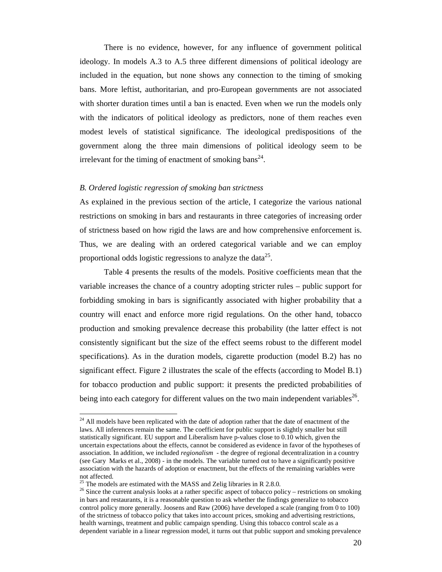There is no evidence, however, for any influence of government political ideology. In models A.3 to A.5 three different dimensions of political ideology are included in the equation, but none shows any connection to the timing of smoking bans. More leftist, authoritarian, and pro-European governments are not associated with shorter duration times until a ban is enacted. Even when we run the models only with the indicators of political ideology as predictors, none of them reaches even modest levels of statistical significance. The ideological predispositions of the government along the three main dimensions of political ideology seem to be irrelevant for the timing of enactment of smoking bans<sup>24</sup>.

### *B. Ordered logistic regression of smoking ban strictness*

As explained in the previous section of the article, I categorize the various national restrictions on smoking in bars and restaurants in three categories of increasing order of strictness based on how rigid the laws are and how comprehensive enforcement is. Thus, we are dealing with an ordered categorical variable and we can employ proportional odds logistic regressions to analyze the data $^{25}$ .

Table 4 presents the results of the models. Positive coefficients mean that the variable increases the chance of a country adopting stricter rules – public support for forbidding smoking in bars is significantly associated with higher probability that a country will enact and enforce more rigid regulations. On the other hand, tobacco production and smoking prevalence decrease this probability (the latter effect is not consistently significant but the size of the effect seems robust to the different model specifications). As in the duration models, cigarette production (model B.2) has no significant effect. Figure 2 illustrates the scale of the effects (according to Model B.1) for tobacco production and public support: it presents the predicted probabilities of being into each category for different values on the two main independent variables<sup>26</sup>.

<sup>&</sup>lt;sup>24</sup> All models have been replicated with the date of adoption rather that the date of enactment of the laws. All inferences remain the same. The coefficient for public support is slightly smaller but still statistically significant. EU support and Liberalism have p-values close to 0.10 which, given the uncertain expectations about the effects, cannot be considered as evidence in favor of the hypotheses of association. In addition, we included *regionalism* - the degree of regional decentralization in a country (see Gary Marks et al., 2008) - in the models. The variable turned out to have a significantly positive association with the hazards of adoption or enactment, but the effects of the remaining variables were not affected.

 $25$  The models are estimated with the MASS and Zelig libraries in R 2.8.0.

<sup>&</sup>lt;sup>26</sup> Since the current analysis looks at a rather specific aspect of tobacco policy – restrictions on smoking in bars and restaurants, it is a reasonable question to ask whether the findings generalize to tobacco control policy more generally. Joosens and Raw (2006) have developed a scale (ranging from 0 to 100) of the strictness of tobacco policy that takes into account prices, smoking and advertising restrictions, health warnings, treatment and public campaign spending. Using this tobacco control scale as a dependent variable in a linear regression model, it turns out that public support and smoking prevalence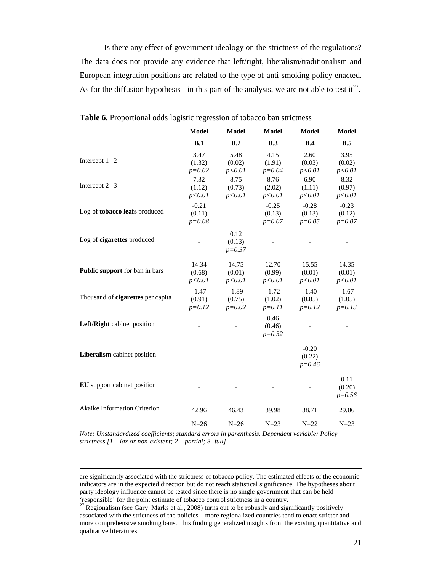Is there any effect of government ideology on the strictness of the regulations? The data does not provide any evidence that left/right, liberalism/traditionalism and European integration positions are related to the type of anti-smoking policy enacted. As for the diffusion hypothesis - in this part of the analysis, we are not able to test it<sup>27</sup>.

|                                                                                                                                                                                      | <b>Model</b>                    | <b>Model</b>                      | <b>Model</b>                    | <b>Model</b>                    | <b>Model</b>                    |  |  |  |
|--------------------------------------------------------------------------------------------------------------------------------------------------------------------------------------|---------------------------------|-----------------------------------|---------------------------------|---------------------------------|---------------------------------|--|--|--|
|                                                                                                                                                                                      | B.1                             | B.2                               | B.3                             | B.4                             | B.5                             |  |  |  |
| Intercept $1 \mid 2$                                                                                                                                                                 | 3.47<br>(1.32)<br>$p = 0.02$    | $\sqrt{5.48}$<br>(0.02)<br>p<0.01 | 4.15<br>(1.91)<br>$p = 0.04$    | 2.60<br>(0.03)<br>p < 0.01      | 3.95<br>(0.02)<br>p < 0.01      |  |  |  |
| Intercept $2 \mid 3$                                                                                                                                                                 | 7.32<br>(1.12)<br>p<0.01        | 8.75<br>(0.73)<br>p<0.01          | 8.76<br>(2.02)<br>p<0.01        | 6.90<br>(1.11)<br>p<0.01        | 8.32<br>(0.97)<br>p<0.01        |  |  |  |
| Log of tobacco leafs produced                                                                                                                                                        | $-0.21$<br>(0.11)<br>$p = 0.08$ |                                   | $-0.25$<br>(0.13)<br>$p = 0.07$ | $-0.28$<br>(0.13)<br>$p = 0.05$ | $-0.23$<br>(0.12)<br>$p = 0.07$ |  |  |  |
| Log of cigarettes produced                                                                                                                                                           |                                 | 0.12<br>(0.13)<br>$p = 0.37$      |                                 |                                 |                                 |  |  |  |
| Public support for ban in bars                                                                                                                                                       | 14.34<br>(0.68)<br>p<0.01       | 14.75<br>(0.01)<br>p<0.01         | 12.70<br>(0.99)<br>p<0.01       | 15.55<br>(0.01)<br>p<0.01       | 14.35<br>(0.01)<br>p<0.01       |  |  |  |
| Thousand of cigarettes per capita                                                                                                                                                    | $-1.47$<br>(0.91)<br>$p = 0.12$ | $-1.89$<br>(0.75)<br>$p = 0.02$   | $-1.72$<br>(1.02)<br>$p = 0.11$ | $-1.40$<br>(0.85)<br>$p = 0.12$ | $-1.67$<br>(1.05)<br>$p = 0.13$ |  |  |  |
| Left/Right cabinet position                                                                                                                                                          |                                 |                                   | 0.46<br>(0.46)<br>$p = 0.32$    |                                 |                                 |  |  |  |
| Liberalism cabinet position                                                                                                                                                          |                                 |                                   |                                 | $-0.20$<br>(0.22)<br>$p = 0.46$ |                                 |  |  |  |
| EU support cabinet position                                                                                                                                                          |                                 |                                   |                                 |                                 | 0.11<br>(0.20)<br>$p=0.56$      |  |  |  |
| Akaike Information Criterion                                                                                                                                                         | 42.96                           | 46.43                             | 39.98                           | 38.71                           | 29.06                           |  |  |  |
|                                                                                                                                                                                      | $N=26$                          | $N=26$                            | $N=23$                          | $N=22$                          | $N=23$                          |  |  |  |
| Note: Unstandardized coefficients; standard errors in parenthesis. Dependent variable: Policy<br>strictness $[1 - \text{tax or non-existent}; 2 - \text{partial}; 3 - \text{full}].$ |                                 |                                   |                                 |                                 |                                 |  |  |  |

Table 6. Proportional odds logistic regression of tobacco ban strictness

are significantly associated with the strictness of tobacco policy. The estimated effects of the economic indicators are in the expected direction but do not reach statistical significance. The hypotheses about party ideology influence cannot be tested since there is no single government that can be held 'responsible' for the point estimate of tobacco control strictness in a country.

<sup>&</sup>lt;sup>27</sup> Regionalism (see Gary Marks et al., 2008) turns out to be robustly and significantly positively associated with the strictness of the policies – more regionalized countries tend to enact stricter and more comprehensive smoking bans. This finding generalized insights from the existing quantitative and qualitative literatures.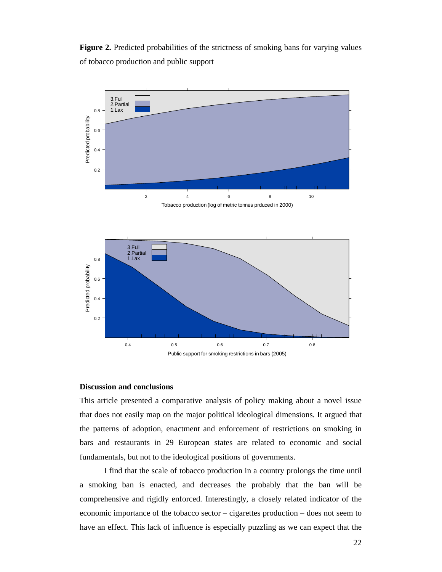**Figure 2.** Predicted probabilities of the strictness of smoking bans for varying values of tobacco production and public support



#### **Discussion and conclusions**

This article presented a comparative analysis of policy making about a novel issue that does not easily map on the major political ideological dimensions. It argued that the patterns of adoption, enactment and enforcement of restrictions on smoking in bars and restaurants in 29 European states are related to economic and social fundamentals, but not to the ideological positions of governments.

 I find that the scale of tobacco production in a country prolongs the time until a smoking ban is enacted, and decreases the probably that the ban will be comprehensive and rigidly enforced. Interestingly, a closely related indicator of the economic importance of the tobacco sector – cigarettes production – does not seem to have an effect. This lack of influence is especially puzzling as we can expect that the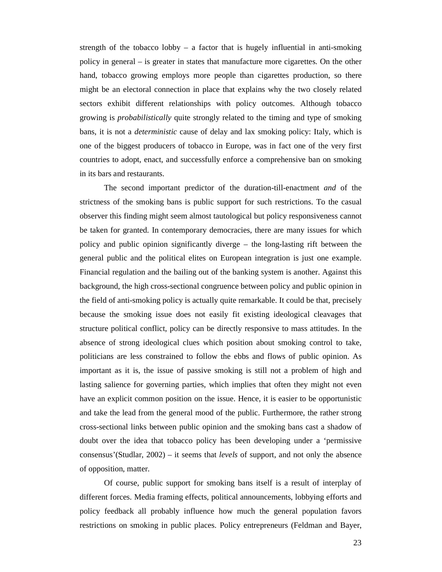strength of the tobacco lobby – a factor that is hugely influential in anti-smoking policy in general – is greater in states that manufacture more cigarettes. On the other hand, tobacco growing employs more people than cigarettes production, so there might be an electoral connection in place that explains why the two closely related sectors exhibit different relationships with policy outcomes. Although tobacco growing is *probabilistically* quite strongly related to the timing and type of smoking bans, it is not a *deterministic* cause of delay and lax smoking policy: Italy, which is one of the biggest producers of tobacco in Europe, was in fact one of the very first countries to adopt, enact, and successfully enforce a comprehensive ban on smoking in its bars and restaurants.

 The second important predictor of the duration-till-enactment *and* of the strictness of the smoking bans is public support for such restrictions. To the casual observer this finding might seem almost tautological but policy responsiveness cannot be taken for granted. In contemporary democracies, there are many issues for which policy and public opinion significantly diverge – the long-lasting rift between the general public and the political elites on European integration is just one example. Financial regulation and the bailing out of the banking system is another. Against this background, the high cross-sectional congruence between policy and public opinion in the field of anti-smoking policy is actually quite remarkable. It could be that, precisely because the smoking issue does not easily fit existing ideological cleavages that structure political conflict, policy can be directly responsive to mass attitudes. In the absence of strong ideological clues which position about smoking control to take, politicians are less constrained to follow the ebbs and flows of public opinion. As important as it is, the issue of passive smoking is still not a problem of high and lasting salience for governing parties, which implies that often they might not even have an explicit common position on the issue. Hence, it is easier to be opportunistic and take the lead from the general mood of the public. Furthermore, the rather strong cross-sectional links between public opinion and the smoking bans cast a shadow of doubt over the idea that tobacco policy has been developing under a 'permissive consensus'(Studlar, 2002) – it seems that *levels* of support, and not only the absence of opposition, matter.

 Of course, public support for smoking bans itself is a result of interplay of different forces. Media framing effects, political announcements, lobbying efforts and policy feedback all probably influence how much the general population favors restrictions on smoking in public places. Policy entrepreneurs (Feldman and Bayer,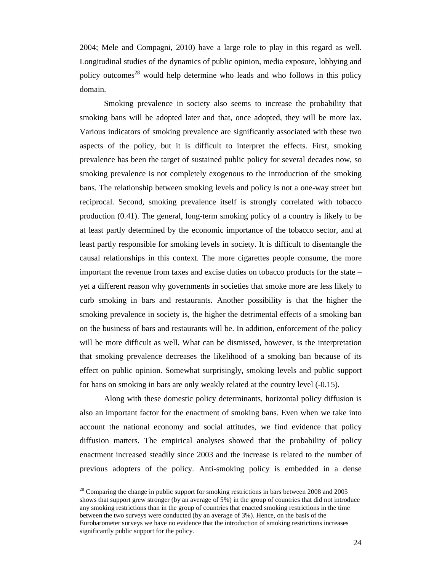2004; Mele and Compagni, 2010) have a large role to play in this regard as well. Longitudinal studies of the dynamics of public opinion, media exposure, lobbying and policy outcomes<sup>28</sup> would help determine who leads and who follows in this policy domain.

 Smoking prevalence in society also seems to increase the probability that smoking bans will be adopted later and that, once adopted, they will be more lax. Various indicators of smoking prevalence are significantly associated with these two aspects of the policy, but it is difficult to interpret the effects. First, smoking prevalence has been the target of sustained public policy for several decades now, so smoking prevalence is not completely exogenous to the introduction of the smoking bans. The relationship between smoking levels and policy is not a one-way street but reciprocal. Second, smoking prevalence itself is strongly correlated with tobacco production (0.41). The general, long-term smoking policy of a country is likely to be at least partly determined by the economic importance of the tobacco sector, and at least partly responsible for smoking levels in society. It is difficult to disentangle the causal relationships in this context. The more cigarettes people consume, the more important the revenue from taxes and excise duties on tobacco products for the state – yet a different reason why governments in societies that smoke more are less likely to curb smoking in bars and restaurants. Another possibility is that the higher the smoking prevalence in society is, the higher the detrimental effects of a smoking ban on the business of bars and restaurants will be. In addition, enforcement of the policy will be more difficult as well. What can be dismissed, however, is the interpretation that smoking prevalence decreases the likelihood of a smoking ban because of its effect on public opinion. Somewhat surprisingly, smoking levels and public support for bans on smoking in bars are only weakly related at the country level (-0.15).

 Along with these domestic policy determinants, horizontal policy diffusion is also an important factor for the enactment of smoking bans. Even when we take into account the national economy and social attitudes, we find evidence that policy diffusion matters. The empirical analyses showed that the probability of policy enactment increased steadily since 2003 and the increase is related to the number of previous adopters of the policy. Anti-smoking policy is embedded in a dense

 $^{28}$  Comparing the change in public support for smoking restrictions in bars between 2008 and 2005 shows that support grew stronger (by an average of 5%) in the group of countries that did not introduce any smoking restrictions than in the group of countries that enacted smoking restrictions in the time between the two surveys were conducted (by an average of 3%). Hence, on the basis of the Eurobarometer surveys we have no evidence that the introduction of smoking restrictions increases significantly public support for the policy.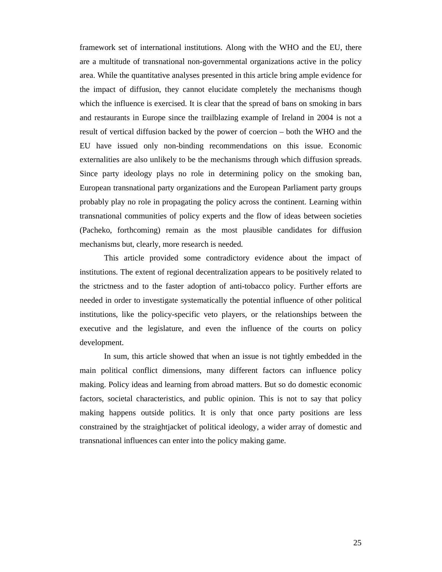framework set of international institutions. Along with the WHO and the EU, there are a multitude of transnational non-governmental organizations active in the policy area. While the quantitative analyses presented in this article bring ample evidence for the impact of diffusion, they cannot elucidate completely the mechanisms though which the influence is exercised. It is clear that the spread of bans on smoking in bars and restaurants in Europe since the trailblazing example of Ireland in 2004 is not a result of vertical diffusion backed by the power of coercion – both the WHO and the EU have issued only non-binding recommendations on this issue. Economic externalities are also unlikely to be the mechanisms through which diffusion spreads. Since party ideology plays no role in determining policy on the smoking ban, European transnational party organizations and the European Parliament party groups probably play no role in propagating the policy across the continent. Learning within transnational communities of policy experts and the flow of ideas between societies (Pacheko, forthcoming) remain as the most plausible candidates for diffusion mechanisms but, clearly, more research is needed.

 This article provided some contradictory evidence about the impact of institutions. The extent of regional decentralization appears to be positively related to the strictness and to the faster adoption of anti-tobacco policy. Further efforts are needed in order to investigate systematically the potential influence of other political institutions, like the policy-specific veto players, or the relationships between the executive and the legislature, and even the influence of the courts on policy development.

In sum, this article showed that when an issue is not tightly embedded in the main political conflict dimensions, many different factors can influence policy making. Policy ideas and learning from abroad matters. But so do domestic economic factors, societal characteristics, and public opinion. This is not to say that policy making happens outside politics. It is only that once party positions are less constrained by the straightjacket of political ideology, a wider array of domestic and transnational influences can enter into the policy making game.

25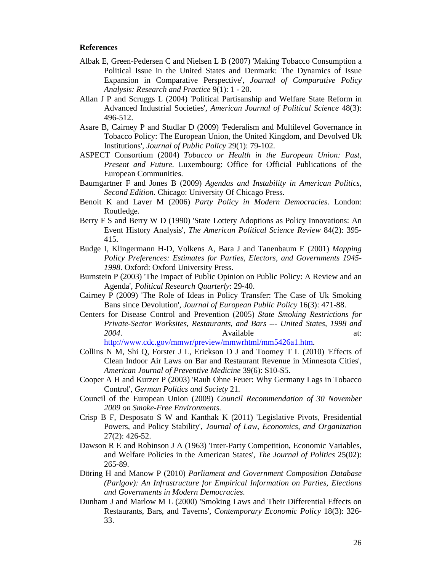### **References**

- Albak E, Green-Pedersen C and Nielsen L B (2007) 'Making Tobacco Consumption a Political Issue in the United States and Denmark: The Dynamics of Issue Expansion in Comparative Perspective', *Journal of Comparative Policy Analysis: Research and Practice* 9(1): 1 - 20.
- Allan J P and Scruggs L (2004) 'Political Partisanship and Welfare State Reform in Advanced Industrial Societies', *American Journal of Political Science* 48(3): 496-512.
- Asare B, Cairney P and Studlar D (2009) 'Federalism and Multilevel Governance in Tobacco Policy: The European Union, the United Kingdom, and Devolved Uk Institutions', *Journal of Public Policy* 29(1): 79-102.
- ASPECT Consortium (2004) *Tobacco or Health in the European Union: Past, Present and Future*. Luxembourg: Office for Official Publications of the European Communities.
- Baumgartner F and Jones B (2009) *Agendas and Instability in American Politics, Second Edition*. Chicago: University Of Chicago Press.
- Benoit K and Laver M (2006) *Party Policy in Modern Democracies*. London: Routledge.
- Berry F S and Berry W D (1990) 'State Lottery Adoptions as Policy Innovations: An Event History Analysis', *The American Political Science Review* 84(2): 395- 415.
- Budge I, Klingermann H-D, Volkens A, Bara J and Tanenbaum E (2001) *Mapping Policy Preferences: Estimates for Parties, Electors, and Governments 1945- 1998*. Oxford: Oxford University Press.
- Burnstein P (2003) 'The Impact of Public Opinion on Public Policy: A Review and an Agenda', *Political Research Quarterly*: 29-40.
- Cairney P (2009) 'The Role of Ideas in Policy Transfer: The Case of Uk Smoking Bans since Devolution', *Journal of European Public Policy* 16(3): 471-88.
- Centers for Disease Control and Prevention (2005) *State Smoking Restrictions for Private-Sector Worksites, Restaurants, and Bars --- United States, 1998 and*  **2004. a a** *a a* **<b>***a a a a a*:

http://www.cdc.gov/mmwr/preview/mmwrhtml/mm5426a1.htm.

- Collins N M, Shi Q, Forster J L, Erickson D J and Toomey T L (2010) 'Effects of Clean Indoor Air Laws on Bar and Restaurant Revenue in Minnesota Cities', *American Journal of Preventive Medicine* 39(6): S10-S5.
- Cooper A H and Kurzer P (2003) 'Rauh Ohne Feuer: Why Germany Lags in Tobacco Control', *German Politics and Society* 21.
- Council of the European Union (2009) *Council Recommendation of 30 November 2009 on Smoke-Free Environments*.
- Crisp B F, Desposato S W and Kanthak K (2011) 'Legislative Pivots, Presidential Powers, and Policy Stability', *Journal of Law, Economics, and Organization*  27(2): 426-52.
- Dawson R E and Robinson J A (1963) 'Inter-Party Competition, Economic Variables, and Welfare Policies in the American States', *The Journal of Politics* 25(02): 265-89.
- Döring H and Manow P (2010) *Parliament and Government Composition Database (Parlgov): An Infrastructure for Empirical Information on Parties, Elections and Governments in Modern Democracies*.
- Dunham J and Marlow M L (2000) 'Smoking Laws and Their Differential Effects on Restaurants, Bars, and Taverns', *Contemporary Economic Policy* 18(3): 326- 33.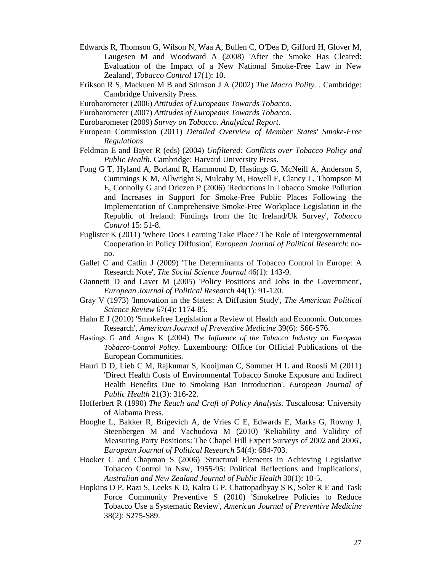- Edwards R, Thomson G, Wilson N, Waa A, Bullen C, O'Dea D, Gifford H, Glover M, Laugesen M and Woodward A (2008) 'After the Smoke Has Cleared: Evaluation of the Impact of a New National Smoke-Free Law in New Zealand', *Tobacco Control* 17(1): 10.
- Erikson R S, Mackuen M B and Stimson J A (2002) *The Macro Polity.* . Cambridge: Cambridge University Press.
- Eurobarometer (2006) *Attitudes of Europeans Towards Tobacco*.
- Eurobarometer (2007) *Attitudes of Europeans Towards Tobacco*.
- Eurobarometer (2009) *Survey on Tobacco. Analytical Report*.
- European Commission (2011) *Detailed Overview of Member States' Smoke-Free Regulations*
- Feldman E and Bayer R (eds) (2004) *Unfiltered: Conflicts over Tobacco Policy and Public Health*. Cambridge: Harvard University Press.
- Fong G T, Hyland A, Borland R, Hammond D, Hastings G, McNeill A, Anderson S, Cummings K M, Allwright S, Mulcahy M, Howell F, Clancy L, Thompson M E, Connolly G and Driezen P (2006) 'Reductions in Tobacco Smoke Pollution and Increases in Support for Smoke-Free Public Places Following the Implementation of Comprehensive Smoke-Free Workplace Legislation in the Republic of Ireland: Findings from the Itc Ireland/Uk Survey', *Tobacco Control* 15: 51-8.
- Fuglister K (2011) 'Where Does Learning Take Place? The Role of Intergovernmental Cooperation in Policy Diffusion', *European Journal of Political Research*: nono.
- Gallet C and Catlin J (2009) 'The Determinants of Tobacco Control in Europe: A Research Note', *The Social Science Journal* 46(1): 143-9.
- Giannetti D and Laver M (2005) 'Policy Positions and Jobs in the Government', *European Journal of Political Research* 44(1): 91-120.
- Gray V (1973) 'Innovation in the States: A Diffusion Study', *The American Political Science Review* 67(4): 1174-85.
- Hahn E J (2010) 'Smokefree Legislation a Review of Health and Economic Outcomes Research', *American Journal of Preventive Medicine* 39(6): S66-S76.
- Hastings G and Angus K (2004) *The Influence of the Tobacco Industry on European Tobacco-Control Policy*. Luxembourg: Office for Official Publications of the European Communities.
- Hauri D D, Lieb C M, Rajkumar S, Kooijman C, Sommer H L and Roosli M (2011) 'Direct Health Costs of Environmental Tobacco Smoke Exposure and Indirect Health Benefits Due to Smoking Ban Introduction', *European Journal of Public Health* 21(3): 316-22.
- Hofferbert R (1990) *The Reach and Craft of Policy Analysis*. Tuscaloosa: University of Alabama Press.
- Hooghe L, Bakker R, Brigevich A, de Vries C E, Edwards E, Marks G, Rowny J, Steenbergen M and Vachudova M (2010) 'Reliability and Validity of Measuring Party Positions: The Chapel Hill Expert Surveys of 2002 and 2006', *European Journal of Political Research* 54(4): 684-703.
- Hooker C and Chapman S (2006) 'Structural Elements in Achieving Legislative Tobacco Control in Nsw, 1955-95: Political Reflections and Implications', *Australian and New Zealand Journal of Public Health* 30(1): 10-5.
- Hopkins D P, Razi S, Leeks K D, Kalra G P, Chattopadhyay S K, Soler R E and Task Force Community Preventive S (2010) 'Smokefree Policies to Reduce Tobacco Use a Systematic Review', *American Journal of Preventive Medicine*  38(2): S275-S89.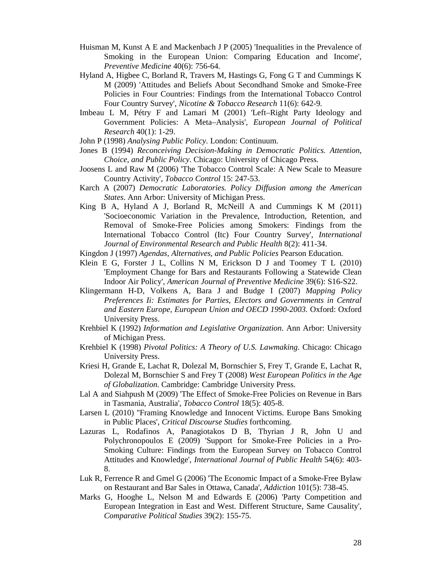- Huisman M, Kunst A E and Mackenbach J P (2005) 'Inequalities in the Prevalence of Smoking in the European Union: Comparing Education and Income', *Preventive Medicine* 40(6): 756-64.
- Hyland A, Higbee C, Borland R, Travers M, Hastings G, Fong G T and Cummings K M (2009) 'Attitudes and Beliefs About Secondhand Smoke and Smoke-Free Policies in Four Countries: Findings from the International Tobacco Control Four Country Survey', *Nicotine & Tobacco Research* 11(6): 642-9.
- Imbeau L M, Pétry F and Lamari M (2001) 'Left–Right Party Ideology and Government Policies: A Meta–Analysis', *European Journal of Political Research* 40(1): 1-29.
- John P (1998) *Analysing Public Policy*. London: Continuum.
- Jones B (1994) *Reconceiving Decision-Making in Democratic Politics. Attention, Choice, and Public Policy*. Chicago: University of Chicago Press.
- Joosens L and Raw M (2006) 'The Tobacco Control Scale: A New Scale to Measure Country Activity', *Tobacco Control* 15: 247-53.
- Karch A (2007) *Democratic Laboratories. Policy Diffusion among the American States*. Ann Arbor: University of Michigan Press.
- King B A, Hyland A J, Borland R, McNeill A and Cummings K M (2011) 'Socioeconomic Variation in the Prevalence, Introduction, Retention, and Removal of Smoke-Free Policies among Smokers: Findings from the International Tobacco Control (Itc) Four Country Survey', *International Journal of Environmental Research and Public Health* 8(2): 411-34.
- Kingdon J (1997) *Agendas, Alternatives, and Public Policies* Pearson Education.
- Klein E G, Forster J L, Collins N M, Erickson D J and Toomey T L (2010) 'Employment Change for Bars and Restaurants Following a Statewide Clean Indoor Air Policy', *American Journal of Preventive Medicine* 39(6): S16-S22.
- Klingermann H-D, Volkens A, Bara J and Budge I (2007) *Mapping Policy Preferences Ii: Estimates for Parties, Electors and Governments in Central and Eastern Europe, European Union and OECD 1990-2003.* Oxford: Oxford University Press.
- Krehbiel K (1992) *Information and Legislative Organization*. Ann Arbor: University of Michigan Press.
- Krehbiel K (1998) *Pivotal Politics: A Theory of U.S. Lawmaking*. Chicago: Chicago University Press.
- Kriesi H, Grande E, Lachat R, Dolezal M, Bornschier S, Frey T, Grande E, Lachat R, Dolezal M, Bornschier S and Frey T (2008) *West European Politics in the Age of Globalization*. Cambridge: Cambridge University Press.
- Lal A and Siahpush M (2009) 'The Effect of Smoke-Free Policies on Revenue in Bars in Tasmania, Australia', *Tobacco Control* 18(5): 405-8.
- Larsen L (2010) "Framing Knowledge and Innocent Victims. Europe Bans Smoking in Public Places', *Critical Discourse Studies* forthcoming.
- Lazuras L, Rodafinos A, Panagiotakos D B, Thyrian J R, John U and Polychronopoulos E (2009) 'Support for Smoke-Free Policies in a Pro-Smoking Culture: Findings from the European Survey on Tobacco Control Attitudes and Knowledge', *International Journal of Public Health* 54(6): 403- 8.
- Luk R, Ferrence R and Gmel G (2006) 'The Economic Impact of a Smoke-Free Bylaw on Restaurant and Bar Sales in Ottawa, Canada', *Addiction* 101(5): 738-45.
- Marks G, Hooghe L, Nelson M and Edwards E (2006) 'Party Competition and European Integration in East and West. Different Structure, Same Causality', *Comparative Political Studies* 39(2): 155-75.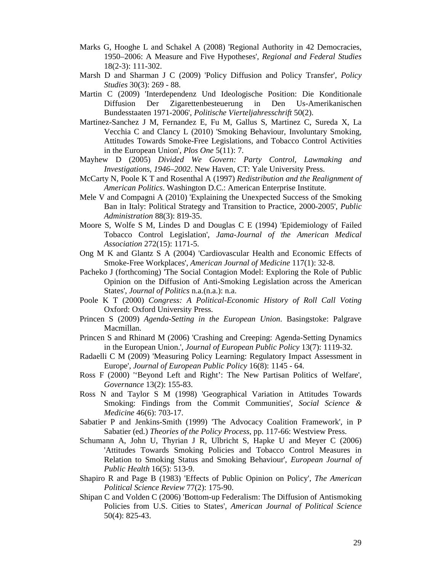- Marks G, Hooghe L and Schakel A (2008) 'Regional Authority in 42 Democracies, 1950–2006: A Measure and Five Hypotheses', *Regional and Federal Studies*  18(2-3): 111-302.
- Marsh D and Sharman J C (2009) 'Policy Diffusion and Policy Transfer', *Policy Studies* 30(3): 269 - 88.
- Martin C (2009) 'Interdependenz Und Ideologische Position: Die Konditionale Diffusion Der Zigarettenbesteuerung in Den Us-Amerikanischen Bundesstaaten 1971-2006', *Politische Vierteljahresschrift* 50(2).
- Martinez-Sanchez J M, Fernandez E, Fu M, Gallus S, Martinez C, Sureda X, La Vecchia C and Clancy L (2010) 'Smoking Behaviour, Involuntary Smoking, Attitudes Towards Smoke-Free Legislations, and Tobacco Control Activities in the European Union', *Plos One* 5(11): 7.
- Mayhew D (2005) *Divided We Govern: Party Control, Lawmaking and Investigations, 1946–2002*. New Haven, CT: Yale University Press.
- McCarty N, Poole K T and Rosenthal A (1997) *Redistribution and the Realignment of American Politics*. Washington D.C.: American Enterprise Institute.
- Mele V and Compagni A (2010) 'Explaining the Unexpected Success of the Smoking Ban in Italy: Political Strategy and Transition to Practice, 2000-2005', *Public Administration* 88(3): 819-35.
- Moore S, Wolfe S M, Lindes D and Douglas C E (1994) 'Epidemiology of Failed Tobacco Control Legislation', *Jama-Journal of the American Medical Association* 272(15): 1171-5.
- Ong M K and Glantz S A (2004) 'Cardiovascular Health and Economic Effects of Smoke-Free Workplaces', *American Journal of Medicine* 117(1): 32-8.
- Pacheko J (forthcoming) 'The Social Contagion Model: Exploring the Role of Public Opinion on the Diffusion of Anti-Smoking Legislation across the American States', *Journal of Politics* n.a.(n.a.): n.a.
- Poole K T (2000) *Congress: A Political-Economic History of Roll Call Voting*  Oxford: Oxford University Press.
- Princen S (2009) *Agenda-Setting in the European Union*. Basingstoke: Palgrave Macmillan.
- Princen S and Rhinard M (2006) 'Crashing and Creeping: Agenda-Setting Dynamics in the European Union.', *Journal of European Public Policy* 13(7): 1119-32.
- Radaelli C M (2009) 'Measuring Policy Learning: Regulatory Impact Assessment in Europe', *Journal of European Public Policy* 16(8): 1145 - 64.
- Ross F (2000) ''Beyond Left and Right': The New Partisan Politics of Welfare', *Governance* 13(2): 155-83.
- Ross N and Taylor S M (1998) 'Geographical Variation in Attitudes Towards Smoking: Findings from the Commit Communities', *Social Science & Medicine* 46(6): 703-17.
- Sabatier P and Jenkins-Smith (1999) 'The Advocacy Coalition Framework', in P Sabatier (ed.) *Theories of the Policy Process*, pp. 117-66: Westview Press.
- Schumann A, John U, Thyrian J R, Ulbricht S, Hapke U and Meyer C (2006) 'Attitudes Towards Smoking Policies and Tobacco Control Measures in Relation to Smoking Status and Smoking Behaviour', *European Journal of Public Health* 16(5): 513-9.
- Shapiro R and Page B (1983) 'Effects of Public Opinion on Policy', *The American Political Science Review* 77(2): 175-90.
- Shipan C and Volden C (2006) 'Bottom-up Federalism: The Diffusion of Antismoking Policies from U.S. Cities to States', *American Journal of Political Science*  50(4): 825-43.